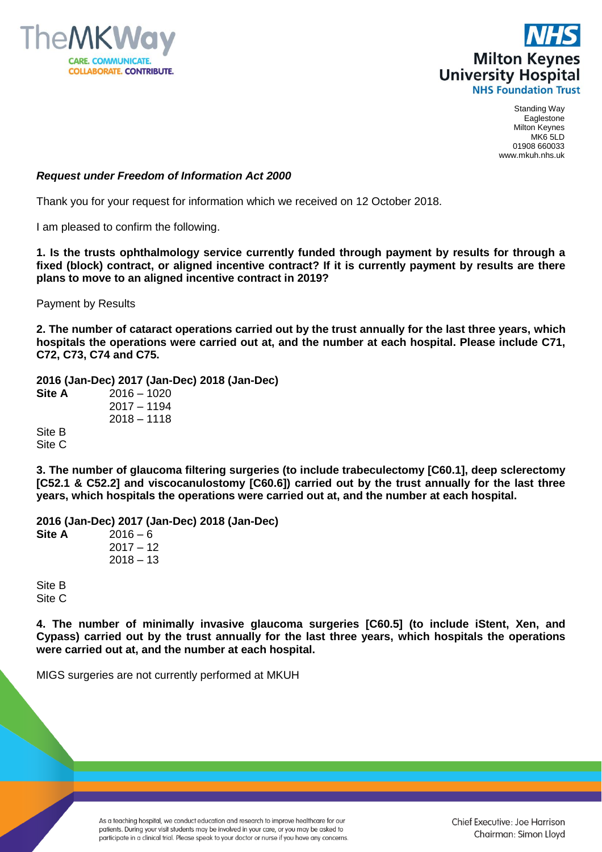



Standing Way Eaglestone Milton Keynes MK6 5LD 01908 660033 www.mkuh.nhs.uk

## *Request under Freedom of Information Act 2000*

Thank you for your request for information which we received on 12 October 2018.

I am pleased to confirm the following.

**1. Is the trusts ophthalmology service currently funded through payment by results for through a fixed (block) contract, or aligned incentive contract? If it is currently payment by results are there plans to move to an aligned incentive contract in 2019?** 

Payment by Results

**2. The number of cataract operations carried out by the trust annually for the last three years, which hospitals the operations were carried out at, and the number at each hospital. Please include C71, C72, C73, C74 and C75.**

**2016 (Jan-Dec) 2017 (Jan-Dec) 2018 (Jan-Dec) Site A** 2016 – 1020 2017 – 1194 2018 – 1118

Site B Site C

**3. The number of glaucoma filtering surgeries (to include trabeculectomy [C60.1], deep sclerectomy [C52.1 & C52.2] and viscocanulostomy [C60.6]) carried out by the trust annually for the last three years, which hospitals the operations were carried out at, and the number at each hospital.**

**2016 (Jan-Dec) 2017 (Jan-Dec) 2018 (Jan-Dec) Site A** 2016 – 6  $2017 - 12$  $2018 - 13$ 

Site B Site C

**4. The number of minimally invasive glaucoma surgeries [C60.5] (to include iStent, Xen, and Cypass) carried out by the trust annually for the last three years, which hospitals the operations were carried out at, and the number at each hospital.**

MIGS surgeries are not currently performed at MKUH

As a teaching hospital, we conduct education and research to improve healthcare for our patients. During your visit students may be involved in your care, or you may be asked to participate in a clinical trial. Please speak to your doctor or nurse if you have any concerns.